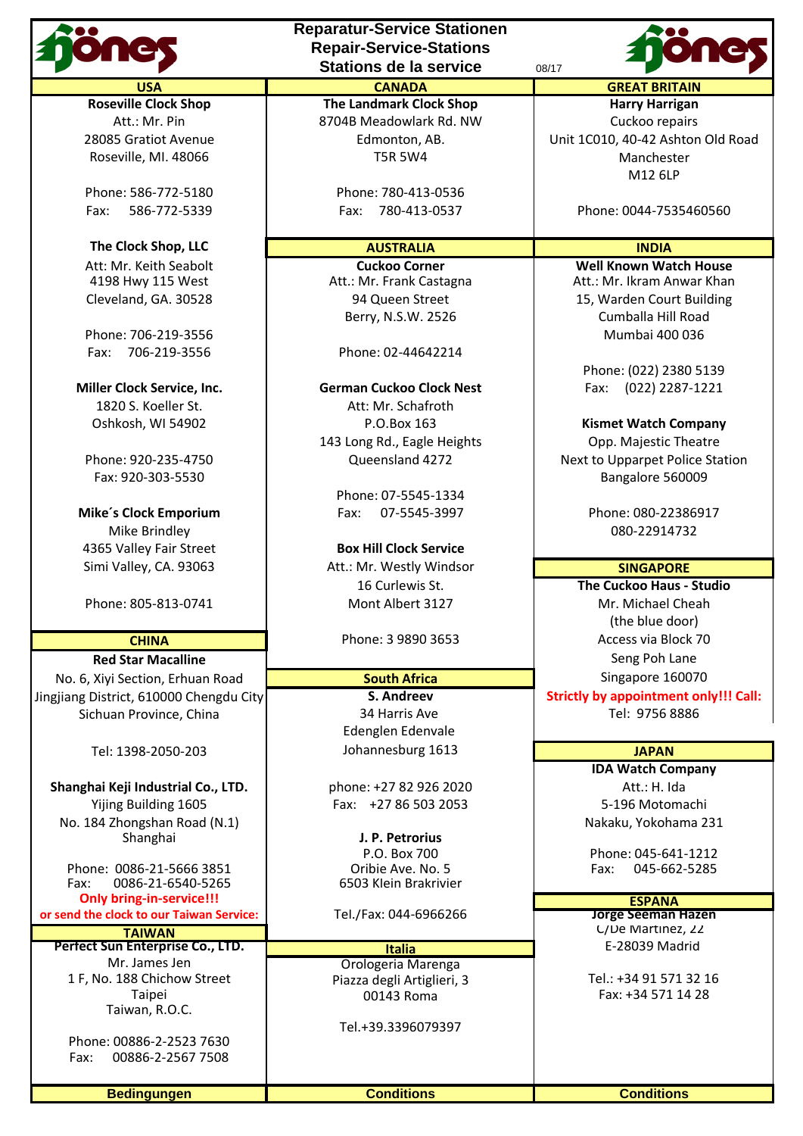**The Clock Shop, LLC INDIA AUSTRALIA INDIA** 

Fax: 706-219-3556 Phone: 02-44642214

Mike Brindley **2001-2012** Mike Brindley **2001-2014** Mike Brindley

No. 6, Xivi Section, Erhuan Road **South Africa** Singapore 160070 Jingjiang District, 610000 Chengdu City **S. Andreev S. Andreev S. Supposed Strictly by appointment only!!! Call:** Sichuan Province, China Tel: 9756 8886

**Shanghai Keji Industrial Co., LTD.** | phone: +27 82 926 2020 | Att.: H. Ida Yijing Building 1605 | Fax: +27 86 503 2053 | 5-196 Motomachi No. 184 Zhongshan Road (N.1)<br>Shanghai **Nakaku, Yokohama 231** 

Phone: 0086-21-5666 3851 Oribie Ave. No. 5 Fax: 045-662-5285 0086-21-6540-5265

**Only bring-in-service!!!**<br> **I** the clock to our Taiwan Service: Tel./Fax: 044-6966266 **The Clock of Constanting Service Seeman Hazen or send the clock to our Taiwan Service:** 

**Perfect Sun Enterprise Co., LTD. ITALIS ITALIS Mr.** James Jen 1 F, No. 188 Chichow Street Piazza degli Artiglieri, 3 Tel.: +34 91 571 32 16<br>Taipei Piazza degli Artiglieri, 3 Tel.: +34 571 14 28 Taiwan, R.O.C.

Phone: 00886-2-2523 7630 Fax: 00886-2-2567 7508 **Reparatur-Service Stationen Repair-Service-Stations Stations de la service** 08/17



Att.: Mr. Pin **Example 2018** Meadowlark Rd. NW **Cuckoo repairs** Roseville, MI. 48066 **No. 1988** TSR 5W4 Manchester

Phone: 586-772-5180 **Phone: 780-413-0536** 

Att.: Mr. Frank Castagna

**Miller Clock Service, Inc. German Cuckoo Clock Nest** Fax: (022) 2287-1221 1820 S. Koeller St. **Att: Mr. Schafroth** Oshkosh, WI 54902 P.O.Box 163 **Kismet Watch Company** 143 Long Rd., Eagle Heights **Dep. Majestic Theatre** 

Phone: 07-5545-1334 **Mike's Clock Emporium** Fax: 07-5545-3997 Phone: 080-22386917

4365 Valley Fair Street **Box Hill Clock Service** Simi Valley, CA. 93063 **Att.: Mr. Westly Windsor Communist Communist Communist Communist Communist Communist Communist Communist Communist Communist Communist Communist Communist Communist Communist Communist Communist C** 16 Curlewis St. **The Cuckoo Haus - Studio** Phone: 805-813-0741 **Mont Albert 3127** Mr. Michael Cheah

Edenglen Edenvale Tel: 1398-2050-203 Johannesburg 1613 **JAPAN**

Shanghai **J. P. Petrorius**

Orologeria Marenga

Tel.+39.3396079397

**Roseville Clock Shop The Landmark Clock Shop Harry Harrigan** 28085 Gratiot Avenue Edmonton, AB. Unit 1C010, 40-42 Ashton Old Road M12 6LP

Fax: 586-772-5339 Fax: 780-413-0537 Phone: 0044-7535460560

Att: Mr. Keith Seabolt **Cuckoo Corner Cuckoo Corner Well Known Watch House**<br>4198 Hwy 115 West Att.: Mr. Frank Castagna Att.: Mr. Ikram Anwar Khan Cleveland, GA. 30528 94 Queen Street 15, Warden Court Building Berry, N.S.W. 2526 Cumballa Hill Road Phone: 706-219-3556 Mumbai 400 036

Phone: (022) 2380 5139

Phone: 920-235-4750 Queensland 4272 Next to Upparpet Police Station Fax: 920-303-5530 Bangalore 560009

(the blue door) **CHINA Phone: 3 9890 3653 Access via Block 70 Red Star Macalline Community Community Community Community Community Community Community Community Community Community Community Community Community Community Community Community Community Community Community Community Co** 

**IDA Watch Company**

P.O. Box 700 **P.O. Box 700** Phone: 045-641-1212<br>Prible Ave. No. 5 **Primes: 045-662-5285** 

**TAIWAN CONFIDENTIAL CONFIDENTIAL CONFIDENTIAL CONFIDENTIAL CONFIDENTIAL CONFIDENTIAL CONFIDENTIAL CONFIDENTIAL**<br> **Enterprise Co., LTD.** Confidential Confidential Confidential Confidential Confidential Confidential Confide

Fax: +34 571 14 28

**Bedingungen Conditions Conditions**